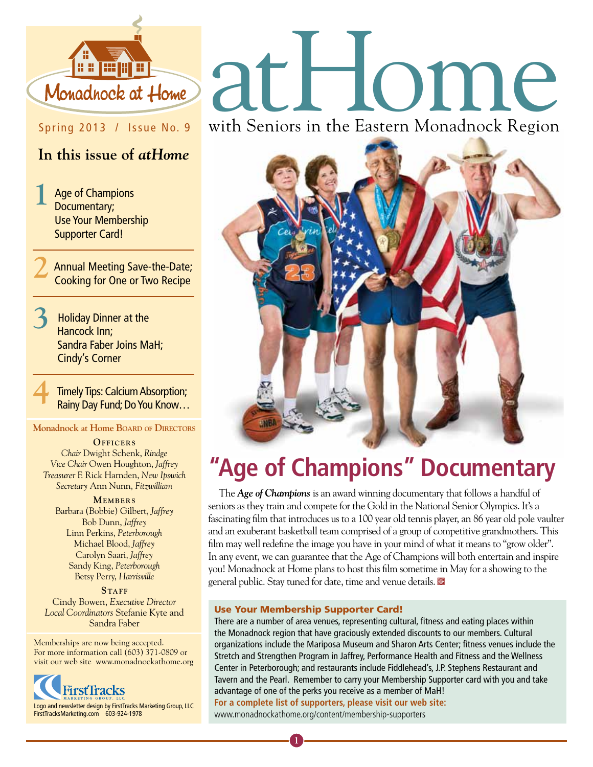

## Spring 2013 / Issue No. 9

## **In this issue of** *atHome*

**1** Age of Champions Documentary; Use Your Membership Supporter Card!

**2** Annual Meeting Save-the-Date; Cooking for One or Two Recipe

**3** Holiday Dinner at the Hancock Inn; Sandra Faber Joins MaH; Cindy's Corner

**Timely Tips: Calcium Absorption;** Rainy Day Fund; Do You Know…

#### **Monadnock at Home Board of Directors**

**OFFICERS** *Chair* Dwight Schenk, *Rindge Vice Chair* Owen Houghton, *Jaffrey Treasurer* F. Rick Harnden, *New Ipswich Secretary* Ann Nunn, *Fitzwilliam*

#### **MEMBERS**

Barbara (Bobbie) Gilbert, *Jaffrey* Bob Dunn, *Jaffrey* Linn Perkins, *Peterborough* Michael Blood, *Jaffrey* Carolyn Saari, *Jaffrey* Sandy King, *Peterborough* Betsy Perry, *Harrisville*

STAFF Cindy Bowen, *Executive Director Local Coordinators* Stefanie Kyte and Sandra Faber

Memberships are now being accepted. For more information call (603) 371-0809 or visit our web site www.monadnockathome.org



# Monadhock at Home

with Seniors in the Eastern Monadnock Region



# **"Age of Champions" Documentary**

The *Age of Champions* is an award winning documentary that follows a handful of seniors as they train and compete for the Gold in the National Senior Olympics. It's a fascinating film that introduces us to a 100 year old tennis player, an 86 year old pole vaulter and an exuberant basketball team comprised of a group of competitive grandmothers. This film may well redefine the image you have in your mind of what it means to "grow older". In any event, we can guarantee that the Age of Champions will both entertain and inspire you! Monadnock at Home plans to host this film sometime in May for a showing to the general public. Stay tuned for date, time and venue details.

#### Use Your Membership Supporter Card!

There are a number of area venues, representing cultural, fitness and eating places within the Monadnock region that have graciously extended discounts to our members. Cultural organizations include the Mariposa Museum and Sharon Arts Center; fitness venues include the Stretch and Strengthen Program in Jaffrey, Performance Health and Fitness and the Wellness Center in Peterborough; and restaurants include Fiddlehead's, J.P. Stephens Restaurant and Tavern and the Pearl. Remember to carry your Membership Supporter card with you and take advantage of one of the perks you receive as a member of MaH! **For a complete list of supporters, please visit our web site:**  www.monadnockathome.org/content/membership-supporters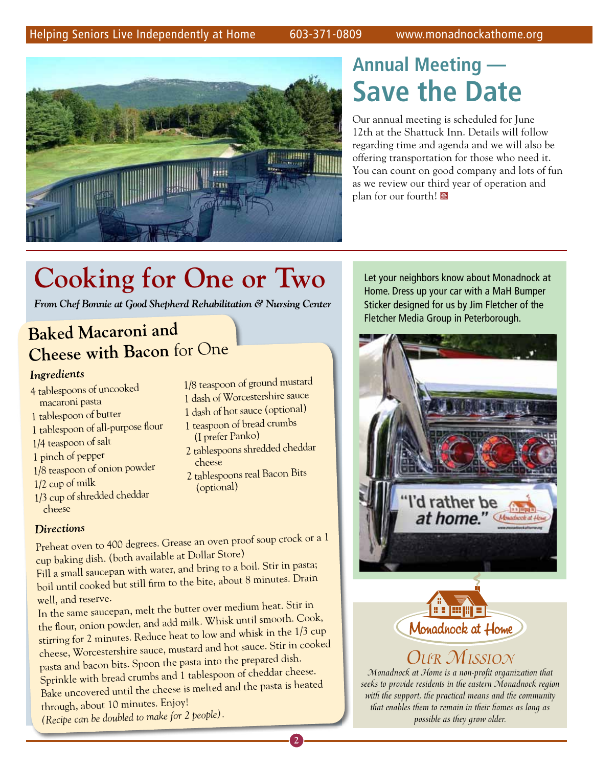### Helping Seniors Live Independently at Home 603-371-0809 www.monadnockathome.org



# **Annual Meeting — Save the Date**

Our annual meeting is scheduled for June 12th at the Shattuck Inn. Details will follow regarding time and agenda and we will also be offering transportation for those who need it. You can count on good company and lots of fun as we review our third year of operation and plan for our fourth!

# **Cooking for One or Two**

*From Chef Bonnie at Good Shepherd Rehabilitation & Nursing Center*

## **Baked Macaroni and Cheese with Bacon** for One

#### *Ingredients*

- 4 tablespoons of uncooked macaroni pasta
- 1 tablespoon of butter
- 1 tablespoon of all-purpose flour
- 1/4 teaspoon of salt
- 1 pinch of pepper
- 1/8 teaspoon of onion powder
- 1/2 cup of milk
- 1/3 cup of shredded cheddar cheese

#### *Directions*

1/8 teaspoon of ground mustard 1 dash of Worcestershire sauce

- 1 dash of hot sauce (optional)
- 1 teaspoon of bread crumbs (I prefer Panko)
- 2 tablespoons shredded cheddar cheese
- 2 tablespoons real Bacon Bits (optional)

**2**

Preheat oven to 400 degrees. Grease an oven proof soup crock or a 1 cup baking dish. (both available at Dollar Store)

Fill a small saucepan with water, and bring to a boil. Stir in pasta; boil until cooked but still firm to the bite, about 8 minutes. Drain well, and reserve.

In the same saucepan, melt the butter over medium heat. Stir in the flour, onion powder, and add milk. Whisk until smooth. Cook, stirring for 2 minutes. Reduce heat to low and whisk in the 1/3 cup cheese, Worcestershire sauce, mustard and hot sauce. Stir in cooked pasta and bacon bits. Spoon the pasta into the prepared dish. Sprinkle with bread crumbs and 1 tablespoon of cheddar cheese. Bake uncovered until the cheese is melted and the pasta is heated through, about 10 minutes. Enjoy!

*(Recipe can be doubled to make for 2 people).*

Home. Dress up your car with a MaH Bumper Sticker designed for us by Jim Fletcher of the Fletcher Media Group in Peterborough.

Let your neighbors know about Monadnock at





## *Our Mission*

*Monadnock at Home is a non-profit organization that seeks to provide residents in the eastern Monadnock region with the support, the practical means and the community that enables them to remain in their homes as long as possible as they grow older.*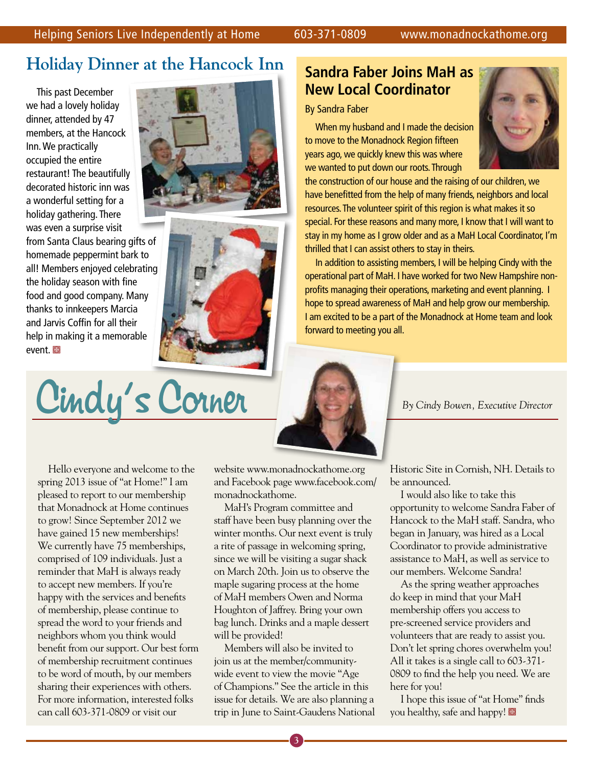## **Holiday Dinner at the Hancock Inn**

This past December we had a lovely holiday dinner, attended by 47 members, at the Hancock Inn. We practically occupied the entire restaurant! The beautifully decorated historic inn was a wonderful setting for a holiday gathering. There was even a surprise visit from Santa Claus bearing gifts of homemade peppermint bark to all! Members enjoyed celebrating the holiday season with fine food and good company. Many thanks to innkeepers Marcia and Jarvis Coffin for all their help in making it a memorable event. 图





Cindy's Corner

## **Sandra Faber Joins MaH as New Local Coordinator**

#### By Sandra Faber

When my husband and I made the decision to move to the Monadnock Region fifteen years ago, we quickly knew this was where we wanted to put down our roots. Through



the construction of our house and the raising of our children, we have benefitted from the help of many friends, neighbors and local resources. The volunteer spirit of this region is what makes it so special. For these reasons and many more, I know that I will want to stay in my home as I grow older and as a MaH Local Coordinator, I'm thrilled that I can assist others to stay in theirs.

In addition to assisting members, I will be helping Cindy with the operational part of MaH. I have worked for two New Hampshire nonprofits managing their operations, marketing and event planning. I hope to spread awareness of MaH and help grow our membership. I am excited to be a part of the Monadnock at Home team and look forward to meeting you all.

Hello everyone and welcome to the spring 2013 issue of "at Home!" I am pleased to report to our membership that Monadnock at Home continues to grow! Since September 2012 we have gained 15 new memberships! We currently have 75 memberships, comprised of 109 individuals. Just a reminder that MaH is always ready to accept new members. If you're happy with the services and benefits of membership, please continue to spread the word to your friends and neighbors whom you think would benefit from our support. Our best form of membership recruitment continues to be word of mouth, by our members sharing their experiences with others. For more information, interested folks can call 603-371-0809 or visit our

website www.monadnockathome.org and Facebook page www.facebook.com/ monadnockathome.

MaH's Program committee and staff have been busy planning over the winter months. Our next event is truly a rite of passage in welcoming spring, since we will be visiting a sugar shack on March 20th. Join us to observe the maple sugaring process at the home of MaH members Owen and Norma Houghton of Jaffrey. Bring your own bag lunch. Drinks and a maple dessert will be provided!

Members will also be invited to join us at the member/communitywide event to view the movie "Age of Champions." See the article in this issue for details. We are also planning a trip in June to Saint-Gaudens National Historic Site in Cornish, NH. Details to be announced.

I would also like to take this opportunity to welcome Sandra Faber of Hancock to the MaH staff. Sandra, who began in January, was hired as a Local Coordinator to provide administrative assistance to MaH, as well as service to our members. Welcome Sandra!

As the spring weather approaches do keep in mind that your MaH membership offers you access to pre-screened service providers and volunteers that are ready to assist you. Don't let spring chores overwhelm you! All it takes is a single call to 603-371- 0809 to find the help you need. We are here for you!

I hope this issue of "at Home" finds you healthy, safe and happy!